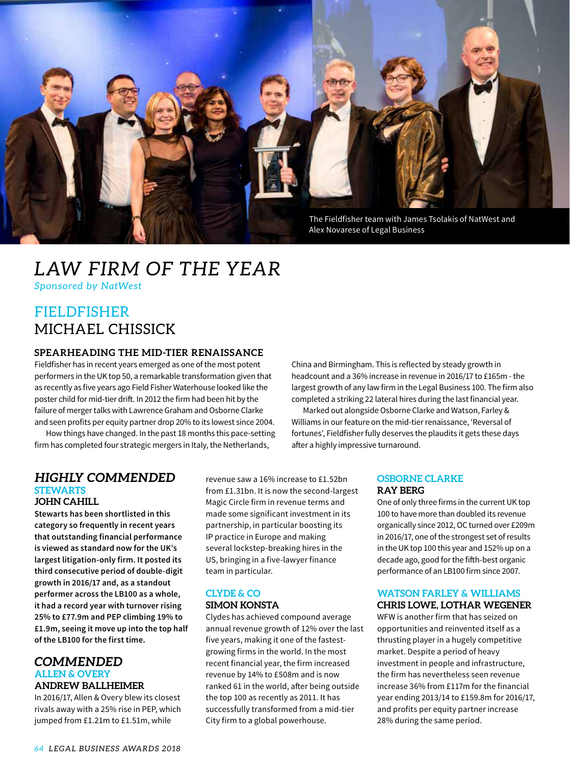

## *LAW FIRM OF THE YEAR*

*Sponsored by NatWest*

### FIELDFISHER MICHAEL CHISSICK

#### **SPEARHEADING THE MID-TIER RENAISSANCE**

Fieldfisher has in recent years emerged as one of the most potent performers in the UK top 50, a remarkable transformation given that as recently as five years ago Field Fisher Waterhouse looked like the poster child for mid-tier drift. In 2012 the firm had been hit by the failure of merger talks with Lawrence Graham and Osborne Clarke and seen profits per equity partner drop 20% to its lowest since 2004.

How things have changed. In the past 18 months this pace-setting firm has completed four strategic mergers in Italy, the Netherlands,

#### *HIGHLY COMMENDED* **STEWARTS JOHN CAHILL**

**Stewarts has been shortlisted in this category so frequently in recent years that outstanding financial performance is viewed as standard now for the UK's largest litigation-only firm. It posted its third consecutive period of double-digit growth in 2016/17 and, as a standout performer across the LB100 as a whole, it had a record year with turnover rising 25% to £77.9m and PEP climbing 19% to £1.9m, seeing it move up into the top half of the LB100 for the first time.** 

#### *COMMENDED* **ALLEN & OVERY ANDREW BALLHEIMER**

In 2016/17, Allen & Overy blew its closest rivals away with a 25% rise in PEP, which jumped from £1.21m to £1.51m, while

revenue saw a 16% increase to £1.52bn from £1.31bn. It is now the second-largest Magic Circle firm in revenue terms and made some significant investment in its partnership, in particular boosting its IP practice in Europe and making several lockstep-breaking hires in the US, bringing in a five-lawyer finance team in particular.

#### **CLYDE & CO SIMON KONSTA**

Clydes has achieved compound average annual revenue growth of 12% over the last five years, making it one of the fastestgrowing firms in the world. In the most recent financial year, the firm increased revenue by 14% to £508m and is now ranked 61 in the world, after being outside the top 100 as recently as 2011. It has successfully transformed from a mid-tier City firm to a global powerhouse.

China and Birmingham. This is reflected by steady growth in headcount and a 36% increase in revenue in 2016/17 to £165m - the largest growth of any law firm in the Legal Business 100. The firm also completed a striking 22 lateral hires during the last financial year.

Marked out alongside Osborne Clarke and Watson, Farley & Williams in our feature on the mid-tier renaissance, 'Reversal of fortunes', Fieldfisher fully deserves the plaudits it gets these days after a highly impressive turnaround.

#### **OSBORNE CLARKE RAY BERG**

One of only three firms in the current UK top 100 to have more than doubled its revenue organically since 2012, OC turned over £209m in 2016/17, one of the strongest set of results in the UK top 100 this year and 152% up on a decade ago, good for the fifth-best organic performance of an LB100 firm since 2007.

#### **WATSON FARLEY & WILLIAMS**

**CHRIS LOWE, LOTHAR WEGENER**

WFW is another firm that has seized on opportunities and reinvented itself as a thrusting player in a hugely competitive market. Despite a period of heavy investment in people and infrastructure, the firm has nevertheless seen revenue increase 36% from £117m for the financial year ending 2013/14 to £159.8m for 2016/17, and profits per equity partner increase 28% during the same period.